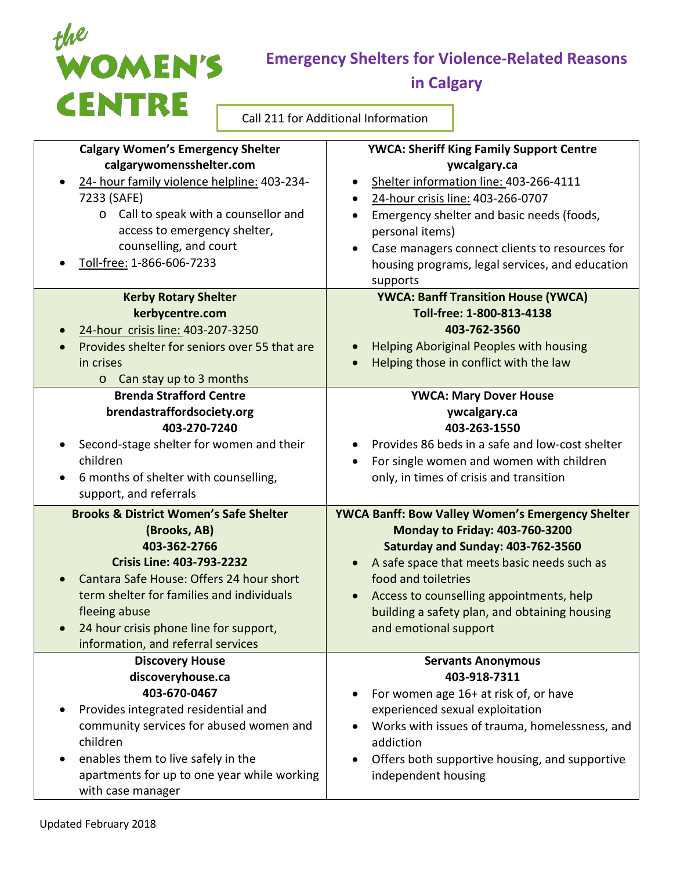

## **Emergency Shelters for Violence-Related Reasons**

**in Calgary**

Call 211 for Additional Information

| <b>Calgary Women's Emergency Shelter</b><br>calgarywomensshelter.com<br>24- hour family violence helpline: 403-234-<br>$\bullet$<br>7233 (SAFE)<br>o Call to speak with a counsellor and<br>access to emergency shelter,<br>counselling, and court<br>Toll-free: 1-866-606-7233                                                                                                                                                                                                                                                                      | <b>YWCA: Sheriff King Family Support Centre</b><br>ywcalgary.ca<br>Shelter information line: 403-266-4111<br>$\bullet$<br>24-hour crisis line: 403-266-0707<br>$\bullet$<br>Emergency shelter and basic needs (foods,<br>$\bullet$<br>personal items)<br>Case managers connect clients to resources for<br>$\bullet$<br>housing programs, legal services, and education<br>supports                                                                                                                                                                                                 |
|------------------------------------------------------------------------------------------------------------------------------------------------------------------------------------------------------------------------------------------------------------------------------------------------------------------------------------------------------------------------------------------------------------------------------------------------------------------------------------------------------------------------------------------------------|-------------------------------------------------------------------------------------------------------------------------------------------------------------------------------------------------------------------------------------------------------------------------------------------------------------------------------------------------------------------------------------------------------------------------------------------------------------------------------------------------------------------------------------------------------------------------------------|
| <b>Kerby Rotary Shelter</b><br>kerbycentre.com<br>24-hour crisis line: 403-207-3250<br>Provides shelter for seniors over 55 that are<br>in crises<br>Can stay up to 3 months<br>$\circ$                                                                                                                                                                                                                                                                                                                                                              | <b>YWCA: Banff Transition House (YWCA)</b><br>Toll-free: 1-800-813-4138<br>403-762-3560<br><b>Helping Aboriginal Peoples with housing</b><br>$\bullet$<br>Helping those in conflict with the law                                                                                                                                                                                                                                                                                                                                                                                    |
| <b>Brenda Strafford Centre</b><br>brendastraffordsociety.org<br>403-270-7240<br>Second-stage shelter for women and their<br>$\bullet$<br>children<br>6 months of shelter with counselling,<br>$\bullet$<br>support, and referrals<br><b>Brooks &amp; District Women's Safe Shelter</b><br>(Brooks, AB)<br>403-362-2766<br><b>Crisis Line: 403-793-2232</b><br>Cantara Safe House: Offers 24 hour short<br>term shelter for families and individuals<br>fleeing abuse<br>24 hour crisis phone line for support,<br>information, and referral services | <b>YWCA: Mary Dover House</b><br>ywcalgary.ca<br>403-263-1550<br>Provides 86 beds in a safe and low-cost shelter<br>$\bullet$<br>For single women and women with children<br>only, in times of crisis and transition<br><b>YWCA Banff: Bow Valley Women's Emergency Shelter</b><br><b>Monday to Friday: 403-760-3200</b><br>Saturday and Sunday: 403-762-3560<br>A safe space that meets basic needs such as<br>$\bullet$<br>food and toiletries<br>Access to counselling appointments, help<br>$\bullet$<br>building a safety plan, and obtaining housing<br>and emotional support |
| <b>Discovery House</b><br>discoveryhouse.ca<br>403-670-0467<br>Provides integrated residential and<br>$\bullet$<br>community services for abused women and<br>children<br>enables them to live safely in the<br>$\bullet$<br>apartments for up to one year while working<br>with case manager                                                                                                                                                                                                                                                        | <b>Servants Anonymous</b><br>403-918-7311<br>For women age 16+ at risk of, or have<br>experienced sexual exploitation<br>Works with issues of trauma, homelessness, and<br>$\bullet$<br>addiction<br>Offers both supportive housing, and supportive<br>$\bullet$<br>independent housing                                                                                                                                                                                                                                                                                             |